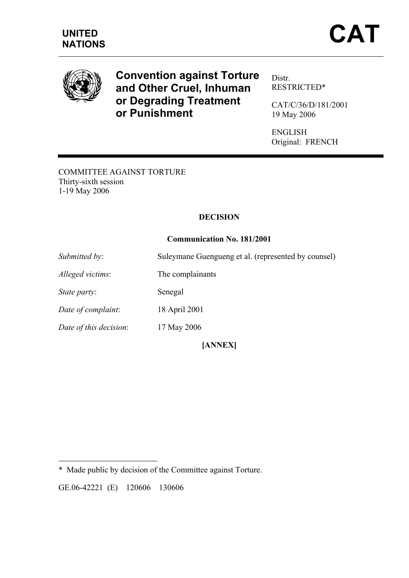

# **Convention against Torture and Other Cruel, Inhuman or Degrading Treatment or Punishment**

Distr. RESTRICTED\*

CAT/C/36/D/181/2001 19 May 2006

ENGLISH Original: FRENCH

COMMITTEE AGAINST TORTURE Thirty-sixth session 1-19 May 2006

# **DECISION**

## **Communication No. 181/2001**

*Submitted by*: Suleymane Guengueng et al. (represented by counsel) *Alleged victims*: The complainants

*State party*: Senegal

*Date of complaint*: 18 April 2001

*Date of this decision*: 17 May 2006

 $\overline{a}$ 

**[ANNEX]** 

GE.06-42221 (E) 120606 130606

<sup>\*</sup> Made public by decision of the Committee against Torture.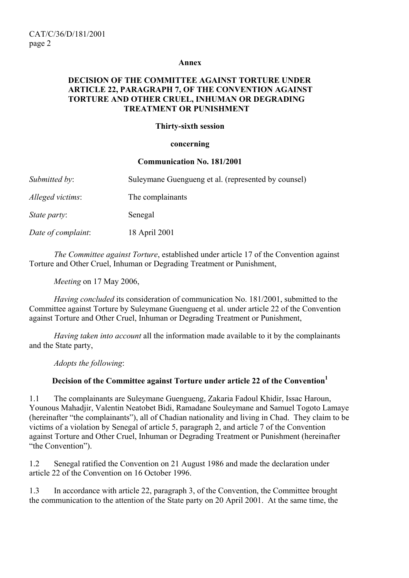#### **Annex**

## **DECISION OF THE COMMITTEE AGAINST TORTURE UNDER ARTICLE 22, PARAGRAPH 7, OF THE CONVENTION AGAINST TORTURE AND OTHER CRUEL, INHUMAN OR DEGRADING TREATMENT OR PUNISHMENT**

#### **Thirty-sixth session**

#### **concerning**

#### **Communication No. 181/2001**

| Submitted by:       | Suleymane Guengueng et al. (represented by counsel) |
|---------------------|-----------------------------------------------------|
| Alleged victims:    | The complainants                                    |
| <i>State party:</i> | Senegal                                             |
| Date of complaint:  | 18 April 2001                                       |

 *The Committee against Torture*, established under article 17 of the Convention against Torture and Other Cruel, Inhuman or Degrading Treatment or Punishment,

*Meeting* on 17 May 2006,

*Having concluded* its consideration of communication No. 181/2001, submitted to the Committee against Torture by Suleymane Guengueng et al. under article 22 of the Convention against Torture and Other Cruel, Inhuman or Degrading Treatment or Punishment,

*Having taken into account* all the information made available to it by the complainants and the State party,

*Adopts the following*:

## **Decision of the Committee against Torture under article 22 of the Convention**

1.1 The complainants are Suleymane Guengueng, Zakaria Fadoul Khidir, Issac Haroun, Younous Mahadjir, Valentin Neatobet Bidi, Ramadane Souleymane and Samuel Togoto Lamaye (hereinafter "the complainants"), all of Chadian nationality and living in Chad. They claim to be victims of a violation by Senegal of article 5, paragraph 2, and article 7 of the Convention against Torture and Other Cruel, Inhuman or Degrading Treatment or Punishment (hereinafter "the Convention").

1.2 Senegal ratified the Convention on 21 August 1986 and made the declaration under article 22 of the Convention on 16 October 1996.

1.3 In accordance with article 22, paragraph 3, of the Convention, the Committee brought the communication to the attention of the State party on 20 April 2001. At the same time, the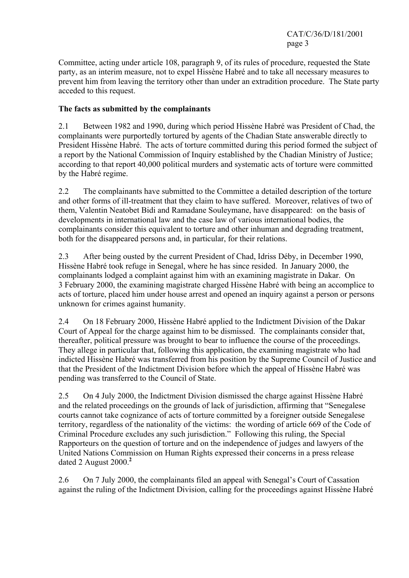Committee, acting under article 108, paragraph 9, of its rules of procedure, requested the State party, as an interim measure, not to expel Hissène Habré and to take all necessary measures to prevent him from leaving the territory other than under an extradition procedure. The State party acceded to this request.

## **The facts as submitted by the complainants**

2.1 Between 1982 and 1990, during which period Hissène Habré was President of Chad, the complainants were purportedly tortured by agents of the Chadian State answerable directly to President Hissène Habré. The acts of torture committed during this period formed the subject of a report by the National Commission of Inquiry established by the Chadian Ministry of Justice; according to that report 40,000 political murders and systematic acts of torture were committed by the Habré regime.

2.2 The complainants have submitted to the Committee a detailed description of the torture and other forms of ill-treatment that they claim to have suffered. Moreover, relatives of two of them, Valentin Neatobet Bidi and Ramadane Souleymane, have disappeared: on the basis of developments in international law and the case law of various international bodies, the complainants consider this equivalent to torture and other inhuman and degrading treatment, both for the disappeared persons and, in particular, for their relations.

2.3 After being ousted by the current President of Chad, Idriss Déby, in December 1990, Hissène Habré took refuge in Senegal, where he has since resided. In January 2000, the complainants lodged a complaint against him with an examining magistrate in Dakar. On 3 February 2000, the examining magistrate charged Hissène Habré with being an accomplice to acts of torture, placed him under house arrest and opened an inquiry against a person or persons unknown for crimes against humanity.

2.4 On 18 February 2000, Hissène Habré applied to the Indictment Division of the Dakar Court of Appeal for the charge against him to be dismissed. The complainants consider that, thereafter, political pressure was brought to bear to influence the course of the proceedings. They allege in particular that, following this application, the examining magistrate who had indicted Hissène Habré was transferred from his position by the Supreme Council of Justice and that the President of the Indictment Division before which the appeal of Hissène Habré was pending was transferred to the Council of State.

2.5 On 4 July 2000, the Indictment Division dismissed the charge against Hissène Habré and the related proceedings on the grounds of lack of jurisdiction, affirming that "Senegalese courts cannot take cognizance of acts of torture committed by a foreigner outside Senegalese territory, regardless of the nationality of the victims: the wording of article 669 of the Code of Criminal Procedure excludes any such jurisdiction." Following this ruling, the Special Rapporteurs on the question of torture and on the independence of judges and lawyers of the United Nations Commission on Human Rights expressed their concerns in a press release dated 2 August 2000.**<sup>2</sup>**

2.6 On 7 July 2000, the complainants filed an appeal with Senegal's Court of Cassation against the ruling of the Indictment Division, calling for the proceedings against Hissène Habré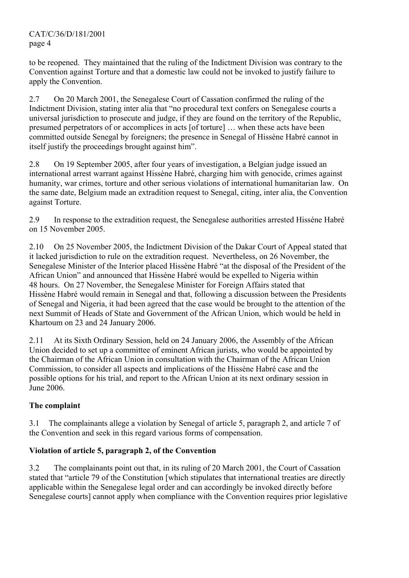to be reopened. They maintained that the ruling of the Indictment Division was contrary to the Convention against Torture and that a domestic law could not be invoked to justify failure to apply the Convention.

2.7 On 20 March 2001, the Senegalese Court of Cassation confirmed the ruling of the Indictment Division, stating inter alia that "no procedural text confers on Senegalese courts a universal jurisdiction to prosecute and judge, if they are found on the territory of the Republic, presumed perpetrators of or accomplices in acts [of torture] … when these acts have been committed outside Senegal by foreigners; the presence in Senegal of Hissène Habré cannot in itself justify the proceedings brought against him".

2.8 On 19 September 2005, after four years of investigation, a Belgian judge issued an international arrest warrant against Hissène Habré, charging him with genocide, crimes against humanity, war crimes, torture and other serious violations of international humanitarian law. On the same date, Belgium made an extradition request to Senegal, citing, inter alia, the Convention against Torture.

2.9 In response to the extradition request, the Senegalese authorities arrested Hissène Habré on 15 November 2005.

2.10 On 25 November 2005, the Indictment Division of the Dakar Court of Appeal stated that it lacked jurisdiction to rule on the extradition request. Nevertheless, on 26 November, the Senegalese Minister of the Interior placed Hissène Habré "at the disposal of the President of the African Union" and announced that Hissène Habré would be expelled to Nigeria within 48 hours. On 27 November, the Senegalese Minister for Foreign Affairs stated that Hissène Habré would remain in Senegal and that, following a discussion between the Presidents of Senegal and Nigeria, it had been agreed that the case would be brought to the attention of the next Summit of Heads of State and Government of the African Union, which would be held in Khartoum on 23 and 24 January 2006.

2.11 At its Sixth Ordinary Session, held on 24 January 2006, the Assembly of the African Union decided to set up a committee of eminent African jurists, who would be appointed by the Chairman of the African Union in consultation with the Chairman of the African Union Commission, to consider all aspects and implications of the Hissène Habré case and the possible options for his trial, and report to the African Union at its next ordinary session in June 2006.

# **The complaint**

3.1 The complainants allege a violation by Senegal of article 5, paragraph 2, and article 7 of the Convention and seek in this regard various forms of compensation.

## **Violation of article 5, paragraph 2, of the Convention**

3.2 The complainants point out that, in its ruling of 20 March 2001, the Court of Cassation stated that "article 79 of the Constitution [which stipulates that international treaties are directly applicable within the Senegalese legal order and can accordingly be invoked directly before Senegalese courts] cannot apply when compliance with the Convention requires prior legislative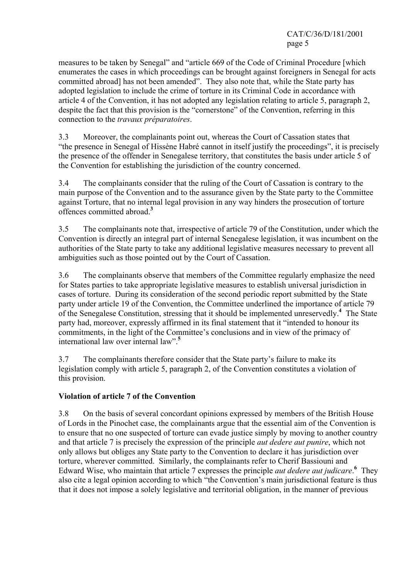measures to be taken by Senegal" and "article 669 of the Code of Criminal Procedure [which enumerates the cases in which proceedings can be brought against foreigners in Senegal for acts committed abroad] has not been amended". They also note that, while the State party has adopted legislation to include the crime of torture in its Criminal Code in accordance with article 4 of the Convention, it has not adopted any legislation relating to article 5, paragraph 2, despite the fact that this provision is the "cornerstone" of the Convention, referring in this connection to the *travaux préparatoires*.

3.3 Moreover, the complainants point out, whereas the Court of Cassation states that "the presence in Senegal of Hissène Habré cannot in itself justify the proceedings", it is precisely the presence of the offender in Senegalese territory, that constitutes the basis under article 5 of the Convention for establishing the jurisdiction of the country concerned.

3.4 The complainants consider that the ruling of the Court of Cassation is contrary to the main purpose of the Convention and to the assurance given by the State party to the Committee against Torture, that no internal legal provision in any way hinders the prosecution of torture offences committed abroad.**<sup>3</sup>**

3.5 The complainants note that, irrespective of article 79 of the Constitution, under which the Convention is directly an integral part of internal Senegalese legislation, it was incumbent on the authorities of the State party to take any additional legislative measures necessary to prevent all ambiguities such as those pointed out by the Court of Cassation.

3.6 The complainants observe that members of the Committee regularly emphasize the need for States parties to take appropriate legislative measures to establish universal jurisdiction in cases of torture. During its consideration of the second periodic report submitted by the State party under article 19 of the Convention, the Committee underlined the importance of article 79 of the Senegalese Constitution, stressing that it should be implemented unreservedly.**<sup>4</sup>** The State party had, moreover, expressly affirmed in its final statement that it "intended to honour its commitments, in the light of the Committee's conclusions and in view of the primacy of international law over internal law".**<sup>5</sup>**

3.7 The complainants therefore consider that the State party's failure to make its legislation comply with article 5, paragraph 2, of the Convention constitutes a violation of this provision.

# **Violation of article 7 of the Convention**

3.8 On the basis of several concordant opinions expressed by members of the British House of Lords in the Pinochet case, the complainants argue that the essential aim of the Convention is to ensure that no one suspected of torture can evade justice simply by moving to another country and that article 7 is precisely the expression of the principle *aut dedere aut punire*, which not only allows but obliges any State party to the Convention to declare it has jurisdiction over torture, wherever committed. Similarly, the complainants refer to Cherif Bassiouni and Edward Wise, who maintain that article 7 expresses the principle *aut dedere aut judicare*. <sup>6</sup> They also cite a legal opinion according to which "the Convention's main jurisdictional feature is thus that it does not impose a solely legislative and territorial obligation, in the manner of previous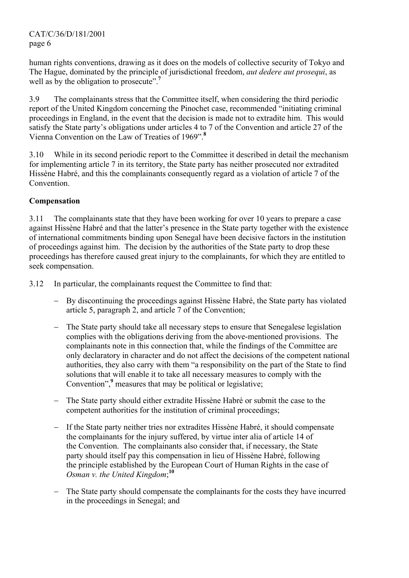human rights conventions, drawing as it does on the models of collective security of Tokyo and The Hague, dominated by the principle of jurisdictional freedom, *aut dedere aut prosequi*, as well as by the obligation to prosecute".<sup>7</sup>

3.9 The complainants stress that the Committee itself, when considering the third periodic report of the United Kingdom concerning the Pinochet case, recommended "initiating criminal proceedings in England, in the event that the decision is made not to extradite him. This would satisfy the State party's obligations under articles 4 to 7 of the Convention and article 27 of the Vienna Convention on the Law of Treaties of 1969".**<sup>8</sup>**

3.10 While in its second periodic report to the Committee it described in detail the mechanism for implementing article 7 in its territory, the State party has neither prosecuted nor extradited Hissène Habré, and this the complainants consequently regard as a violation of article 7 of the Convention.

# **Compensation**

3.11 The complainants state that they have been working for over 10 years to prepare a case against Hissène Habré and that the latter's presence in the State party together with the existence of international commitments binding upon Senegal have been decisive factors in the institution of proceedings against him. The decision by the authorities of the State party to drop these proceedings has therefore caused great injury to the complainants, for which they are entitled to seek compensation.

- 3.12 In particular, the complainants request the Committee to find that:
	- By discontinuing the proceedings against Hissène Habré, the State party has violated article 5, paragraph 2, and article 7 of the Convention;
	- − The State party should take all necessary steps to ensure that Senegalese legislation complies with the obligations deriving from the above-mentioned provisions. The complainants note in this connection that, while the findings of the Committee are only declaratory in character and do not affect the decisions of the competent national authorities, they also carry with them "a responsibility on the part of the State to find solutions that will enable it to take all necessary measures to comply with the Convention",<sup>9</sup> measures that may be political or legislative;
	- The State party should either extradite Hissène Habré or submit the case to the competent authorities for the institution of criminal proceedings;
	- − If the State party neither tries nor extradites Hissène Habré, it should compensate the complainants for the injury suffered, by virtue inter alia of article 14 of the Convention. The complainants also consider that, if necessary, the State party should itself pay this compensation in lieu of Hissène Habré, following the principle established by the European Court of Human Rights in the case of *Osman v. the United Kingdom*; **10**
	- The State party should compensate the complainants for the costs they have incurred in the proceedings in Senegal; and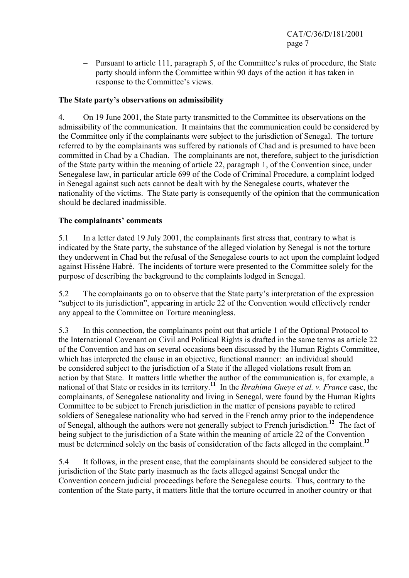− Pursuant to article 111, paragraph 5, of the Committee's rules of procedure, the State party should inform the Committee within 90 days of the action it has taken in response to the Committee's views.

## **The State party's observations on admissibility**

4. On 19 June 2001, the State party transmitted to the Committee its observations on the admissibility of the communication. It maintains that the communication could be considered by the Committee only if the complainants were subject to the jurisdiction of Senegal. The torture referred to by the complainants was suffered by nationals of Chad and is presumed to have been committed in Chad by a Chadian. The complainants are not, therefore, subject to the jurisdiction of the State party within the meaning of article 22, paragraph 1, of the Convention since, under Senegalese law, in particular article 699 of the Code of Criminal Procedure, a complaint lodged in Senegal against such acts cannot be dealt with by the Senegalese courts, whatever the nationality of the victims. The State party is consequently of the opinion that the communication should be declared inadmissible.

## **The complainants' comments**

5.1 In a letter dated 19 July 2001, the complainants first stress that, contrary to what is indicated by the State party, the substance of the alleged violation by Senegal is not the torture they underwent in Chad but the refusal of the Senegalese courts to act upon the complaint lodged against Hissène Habré. The incidents of torture were presented to the Committee solely for the purpose of describing the background to the complaints lodged in Senegal.

5.2 The complainants go on to observe that the State party's interpretation of the expression "subject to its jurisdiction", appearing in article 22 of the Convention would effectively render any appeal to the Committee on Torture meaningless.

5.3 In this connection, the complainants point out that article 1 of the Optional Protocol to the International Covenant on Civil and Political Rights is drafted in the same terms as article 22 of the Convention and has on several occasions been discussed by the Human Rights Committee, which has interpreted the clause in an objective, functional manner: an individual should be considered subject to the jurisdiction of a State if the alleged violations result from an action by that State. It matters little whether the author of the communication is, for example, a national of that State or resides in its territory.**<sup>11</sup>** In the *Ibrahima Gueye et al. v. France* case, the complainants, of Senegalese nationality and living in Senegal, were found by the Human Rights Committee to be subject to French jurisdiction in the matter of pensions payable to retired soldiers of Senegalese nationality who had served in the French army prior to the independence of Senegal, although the authors were not generally subject to French jurisdiction.**<sup>12</sup>** The fact of being subject to the jurisdiction of a State within the meaning of article 22 of the Convention must be determined solely on the basis of consideration of the facts alleged in the complaint.**<sup>13</sup>**

5.4 It follows, in the present case, that the complainants should be considered subject to the jurisdiction of the State party inasmuch as the facts alleged against Senegal under the Convention concern judicial proceedings before the Senegalese courts. Thus, contrary to the contention of the State party, it matters little that the torture occurred in another country or that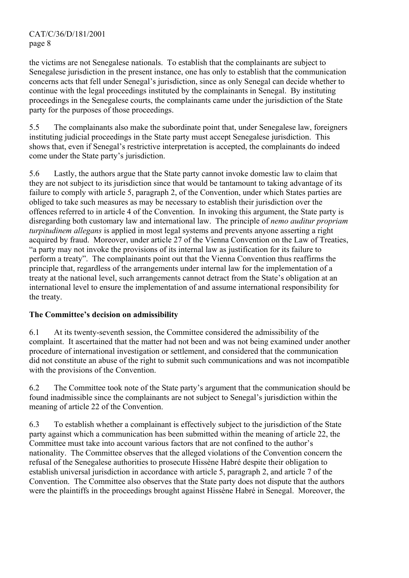the victims are not Senegalese nationals. To establish that the complainants are subject to Senegalese jurisdiction in the present instance, one has only to establish that the communication concerns acts that fell under Senegal's jurisdiction, since as only Senegal can decide whether to continue with the legal proceedings instituted by the complainants in Senegal. By instituting proceedings in the Senegalese courts, the complainants came under the jurisdiction of the State party for the purposes of those proceedings.

5.5 The complainants also make the subordinate point that, under Senegalese law, foreigners instituting judicial proceedings in the State party must accept Senegalese jurisdiction. This shows that, even if Senegal's restrictive interpretation is accepted, the complainants do indeed come under the State party's jurisdiction.

5.6 Lastly, the authors argue that the State party cannot invoke domestic law to claim that they are not subject to its jurisdiction since that would be tantamount to taking advantage of its failure to comply with article 5, paragraph 2, of the Convention, under which States parties are obliged to take such measures as may be necessary to establish their jurisdiction over the offences referred to in article 4 of the Convention. In invoking this argument, the State party is disregarding both customary law and international law. The principle of *nemo auditur propriam turpitudinem allegans* is applied in most legal systems and prevents anyone asserting a right acquired by fraud. Moreover, under article 27 of the Vienna Convention on the Law of Treaties, "a party may not invoke the provisions of its internal law as justification for its failure to perform a treaty". The complainants point out that the Vienna Convention thus reaffirms the principle that, regardless of the arrangements under internal law for the implementation of a treaty at the national level, such arrangements cannot detract from the State's obligation at an international level to ensure the implementation of and assume international responsibility for the treaty.

# **The Committee's decision on admissibility**

6.1 At its twenty-seventh session, the Committee considered the admissibility of the complaint. It ascertained that the matter had not been and was not being examined under another procedure of international investigation or settlement, and considered that the communication did not constitute an abuse of the right to submit such communications and was not incompatible with the provisions of the Convention.

6.2 The Committee took note of the State party's argument that the communication should be found inadmissible since the complainants are not subject to Senegal's jurisdiction within the meaning of article 22 of the Convention.

6.3 To establish whether a complainant is effectively subject to the jurisdiction of the State party against which a communication has been submitted within the meaning of article 22, the Committee must take into account various factors that are not confined to the author's nationality. The Committee observes that the alleged violations of the Convention concern the refusal of the Senegalese authorities to prosecute Hissène Habré despite their obligation to establish universal jurisdiction in accordance with article 5, paragraph 2, and article 7 of the Convention. The Committee also observes that the State party does not dispute that the authors were the plaintiffs in the proceedings brought against Hissène Habré in Senegal. Moreover, the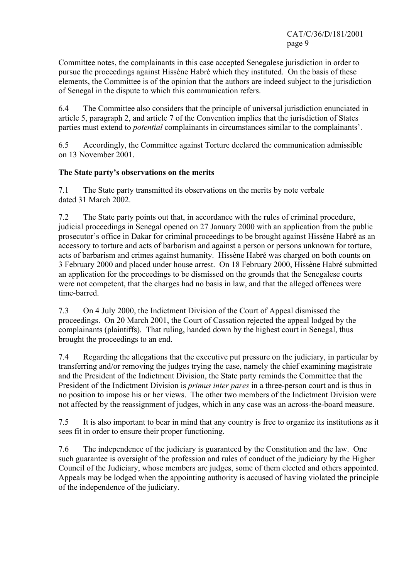Committee notes, the complainants in this case accepted Senegalese jurisdiction in order to pursue the proceedings against Hissène Habré which they instituted. On the basis of these elements, the Committee is of the opinion that the authors are indeed subject to the jurisdiction of Senegal in the dispute to which this communication refers.

6.4 The Committee also considers that the principle of universal jurisdiction enunciated in article 5, paragraph 2, and article 7 of the Convention implies that the jurisdiction of States parties must extend to *potential* complainants in circumstances similar to the complainants'.

6.5 Accordingly, the Committee against Torture declared the communication admissible on 13 November 2001.

## **The State party's observations on the merits**

7.1 The State party transmitted its observations on the merits by note verbale dated 31 March 2002.

7.2 The State party points out that, in accordance with the rules of criminal procedure, judicial proceedings in Senegal opened on 27 January 2000 with an application from the public prosecutor's office in Dakar for criminal proceedings to be brought against Hissène Habré as an accessory to torture and acts of barbarism and against a person or persons unknown for torture, acts of barbarism and crimes against humanity. Hissène Habré was charged on both counts on 3 February 2000 and placed under house arrest. On 18 February 2000, Hissène Habré submitted an application for the proceedings to be dismissed on the grounds that the Senegalese courts were not competent, that the charges had no basis in law, and that the alleged offences were time-barred.

7.3 On 4 July 2000, the Indictment Division of the Court of Appeal dismissed the proceedings. On 20 March 2001, the Court of Cassation rejected the appeal lodged by the complainants (plaintiffs). That ruling, handed down by the highest court in Senegal, thus brought the proceedings to an end.

7.4 Regarding the allegations that the executive put pressure on the judiciary, in particular by transferring and/or removing the judges trying the case, namely the chief examining magistrate and the President of the Indictment Division, the State party reminds the Committee that the President of the Indictment Division is *primus inter pares* in a three-person court and is thus in no position to impose his or her views. The other two members of the Indictment Division were not affected by the reassignment of judges, which in any case was an across-the-board measure.

7.5 It is also important to bear in mind that any country is free to organize its institutions as it sees fit in order to ensure their proper functioning.

7.6 The independence of the judiciary is guaranteed by the Constitution and the law. One such guarantee is oversight of the profession and rules of conduct of the judiciary by the Higher Council of the Judiciary, whose members are judges, some of them elected and others appointed. Appeals may be lodged when the appointing authority is accused of having violated the principle of the independence of the judiciary.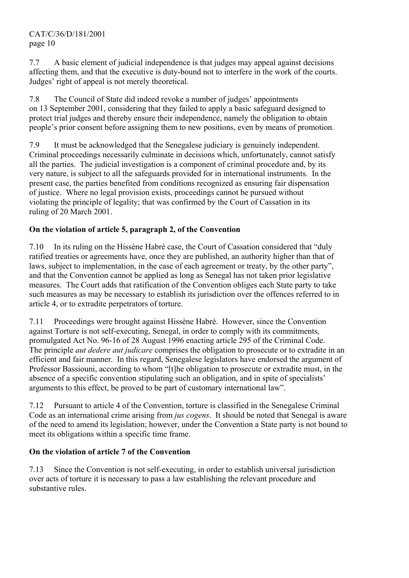7.7 A basic element of judicial independence is that judges may appeal against decisions affecting them, and that the executive is duty-bound not to interfere in the work of the courts. Judges' right of appeal is not merely theoretical.

7.8 The Council of State did indeed revoke a number of judges' appointments on 13 September 2001, considering that they failed to apply a basic safeguard designed to protect trial judges and thereby ensure their independence, namely the obligation to obtain people's prior consent before assigning them to new positions, even by means of promotion.

7.9 It must be acknowledged that the Senegalese judiciary is genuinely independent. Criminal proceedings necessarily culminate in decisions which, unfortunately, cannot satisfy all the parties. The judicial investigation is a component of criminal procedure and, by its very nature, is subject to all the safeguards provided for in international instruments. In the present case, the parties benefited from conditions recognized as ensuring fair dispensation of justice. Where no legal provision exists, proceedings cannot be pursued without violating the principle of legality; that was confirmed by the Court of Cassation in its ruling of 20 March 2001.

# **On the violation of article 5, paragraph 2, of the Convention**

7.10 In its ruling on the Hissène Habré case, the Court of Cassation considered that "duly ratified treaties or agreements have, once they are published, an authority higher than that of laws, subject to implementation, in the case of each agreement or treaty, by the other party", and that the Convention cannot be applied as long as Senegal has not taken prior legislative measures. The Court adds that ratification of the Convention obliges each State party to take such measures as may be necessary to establish its jurisdiction over the offences referred to in article 4, or to extradite perpetrators of torture.

7.11 Proceedings were brought against Hissène Habré. However, since the Convention against Torture is not self-executing, Senegal, in order to comply with its commitments, promulgated Act No. 96-16 of 28 August 1996 enacting article 295 of the Criminal Code. The principle *aut dedere aut judicare* comprises the obligation to prosecute or to extradite in an efficient and fair manner. In this regard, Senegalese legislators have endorsed the argument of Professor Bassiouni, according to whom "[t]he obligation to prosecute or extradite must, in the absence of a specific convention stipulating such an obligation, and in spite of specialists' arguments to this effect, be proved to be part of customary international law".

7.12 Pursuant to article 4 of the Convention, torture is classified in the Senegalese Criminal Code as an international crime arising from *jus cogens*. It should be noted that Senegal is aware of the need to amend its legislation; however, under the Convention a State party is not bound to meet its obligations within a specific time frame.

# **On the violation of article 7 of the Convention**

7.13 Since the Convention is not self-executing, in order to establish universal jurisdiction over acts of torture it is necessary to pass a law establishing the relevant procedure and substantive rules.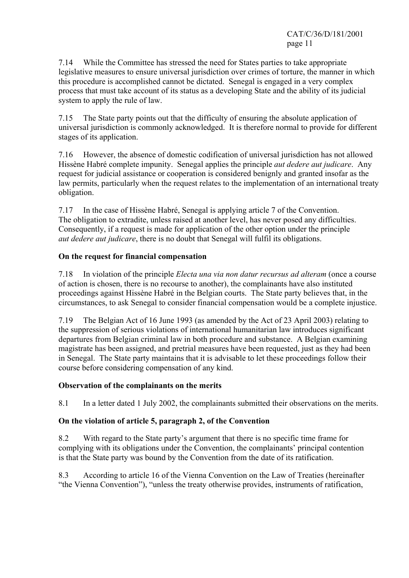7.14 While the Committee has stressed the need for States parties to take appropriate legislative measures to ensure universal jurisdiction over crimes of torture, the manner in which this procedure is accomplished cannot be dictated. Senegal is engaged in a very complex process that must take account of its status as a developing State and the ability of its judicial system to apply the rule of law.

7.15 The State party points out that the difficulty of ensuring the absolute application of universal jurisdiction is commonly acknowledged. It is therefore normal to provide for different stages of its application.

7.16 However, the absence of domestic codification of universal jurisdiction has not allowed Hissène Habré complete impunity. Senegal applies the principle *aut dedere aut judicare*. Any request for judicial assistance or cooperation is considered benignly and granted insofar as the law permits, particularly when the request relates to the implementation of an international treaty obligation.

7.17 In the case of Hissène Habré, Senegal is applying article 7 of the Convention. The obligation to extradite, unless raised at another level, has never posed any difficulties. Consequently, if a request is made for application of the other option under the principle *aut dedere aut judicare*, there is no doubt that Senegal will fulfil its obligations.

## **On the request for financial compensation**

7.18 In violation of the principle *Electa una via non datur recursus ad alteram* (once a course of action is chosen, there is no recourse to another), the complainants have also instituted proceedings against Hissène Habré in the Belgian courts. The State party believes that, in the circumstances, to ask Senegal to consider financial compensation would be a complete injustice.

7.19 The Belgian Act of 16 June 1993 (as amended by the Act of 23 April 2003) relating to the suppression of serious violations of international humanitarian law introduces significant departures from Belgian criminal law in both procedure and substance. A Belgian examining magistrate has been assigned, and pretrial measures have been requested, just as they had been in Senegal. The State party maintains that it is advisable to let these proceedings follow their course before considering compensation of any kind.

## **Observation of the complainants on the merits**

8.1 In a letter dated 1 July 2002, the complainants submitted their observations on the merits.

# **On the violation of article 5, paragraph 2, of the Convention**

8.2 With regard to the State party's argument that there is no specific time frame for complying with its obligations under the Convention, the complainants' principal contention is that the State party was bound by the Convention from the date of its ratification.

8.3 According to article 16 of the Vienna Convention on the Law of Treaties (hereinafter "the Vienna Convention"), "unless the treaty otherwise provides, instruments of ratification,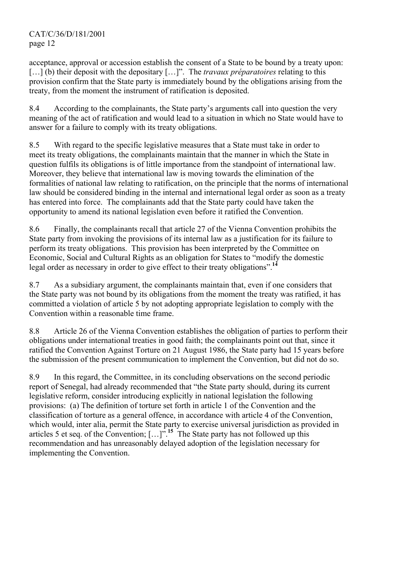acceptance, approval or accession establish the consent of a State to be bound by a treaty upon: […] (b) their deposit with the depositary […]". The *travaux préparatoires* relating to this provision confirm that the State party is immediately bound by the obligations arising from the treaty, from the moment the instrument of ratification is deposited.

8.4 According to the complainants, the State party's arguments call into question the very meaning of the act of ratification and would lead to a situation in which no State would have to answer for a failure to comply with its treaty obligations.

8.5 With regard to the specific legislative measures that a State must take in order to meet its treaty obligations, the complainants maintain that the manner in which the State in question fulfils its obligations is of little importance from the standpoint of international law. Moreover, they believe that international law is moving towards the elimination of the formalities of national law relating to ratification, on the principle that the norms of international law should be considered binding in the internal and international legal order as soon as a treaty has entered into force. The complainants add that the State party could have taken the opportunity to amend its national legislation even before it ratified the Convention.

8.6 Finally, the complainants recall that article 27 of the Vienna Convention prohibits the State party from invoking the provisions of its internal law as a justification for its failure to perform its treaty obligations. This provision has been interpreted by the Committee on Economic, Social and Cultural Rights as an obligation for States to "modify the domestic legal order as necessary in order to give effect to their treaty obligations".**<sup>14</sup>**

8.7 As a subsidiary argument, the complainants maintain that, even if one considers that the State party was not bound by its obligations from the moment the treaty was ratified, it has committed a violation of article 5 by not adopting appropriate legislation to comply with the Convention within a reasonable time frame.

8.8 Article 26 of the Vienna Convention establishes the obligation of parties to perform their obligations under international treaties in good faith; the complainants point out that, since it ratified the Convention Against Torture on 21 August 1986, the State party had 15 years before the submission of the present communication to implement the Convention, but did not do so.

8.9 In this regard, the Committee, in its concluding observations on the second periodic report of Senegal, had already recommended that "the State party should, during its current legislative reform, consider introducing explicitly in national legislation the following provisions: (a) The definition of torture set forth in article 1 of the Convention and the classification of torture as a general offence, in accordance with article 4 of the Convention, which would, inter alia, permit the State party to exercise universal jurisdiction as provided in articles 5 et seq. of the Convention; […]".**<sup>15</sup>** The State party has not followed up this recommendation and has unreasonably delayed adoption of the legislation necessary for implementing the Convention.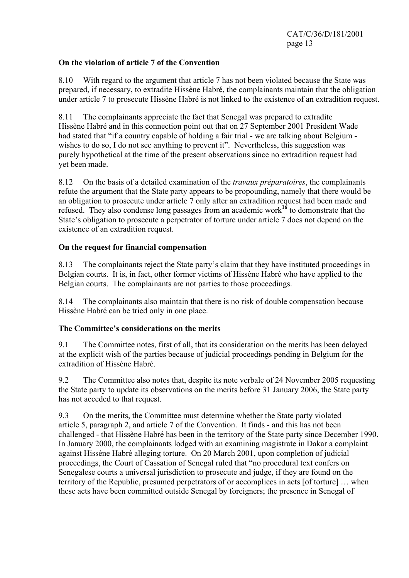## **On the violation of article 7 of the Convention**

8.10 With regard to the argument that article 7 has not been violated because the State was prepared, if necessary, to extradite Hissène Habré, the complainants maintain that the obligation under article 7 to prosecute Hissène Habré is not linked to the existence of an extradition request.

8.11 The complainants appreciate the fact that Senegal was prepared to extradite Hissène Habré and in this connection point out that on 27 September 2001 President Wade had stated that "if a country capable of holding a fair trial - we are talking about Belgium wishes to do so, I do not see anything to prevent it". Nevertheless, this suggestion was purely hypothetical at the time of the present observations since no extradition request had yet been made.

8.12 On the basis of a detailed examination of the *travaux préparatoires*, the complainants refute the argument that the State party appears to be propounding, namely that there would be an obligation to prosecute under article 7 only after an extradition request had been made and refused. They also condense long passages from an academic work**<sup>16</sup>** to demonstrate that the State's obligation to prosecute a perpetrator of torture under article 7 does not depend on the existence of an extradition request.

## **On the request for financial compensation**

8.13 The complainants reject the State party's claim that they have instituted proceedings in Belgian courts. It is, in fact, other former victims of Hissène Habré who have applied to the Belgian courts. The complainants are not parties to those proceedings.

8.14 The complainants also maintain that there is no risk of double compensation because Hissène Habré can be tried only in one place.

## **The Committee's considerations on the merits**

9.1 The Committee notes, first of all, that its consideration on the merits has been delayed at the explicit wish of the parties because of judicial proceedings pending in Belgium for the extradition of Hissène Habré.

9.2 The Committee also notes that, despite its note verbale of 24 November 2005 requesting the State party to update its observations on the merits before 31 January 2006, the State party has not acceded to that request.

9.3 On the merits, the Committee must determine whether the State party violated article 5, paragraph 2, and article 7 of the Convention. It finds - and this has not been challenged - that Hissène Habré has been in the territory of the State party since December 1990. In January 2000, the complainants lodged with an examining magistrate in Dakar a complaint against Hissène Habré alleging torture. On 20 March 2001, upon completion of judicial proceedings, the Court of Cassation of Senegal ruled that "no procedural text confers on Senegalese courts a universal jurisdiction to prosecute and judge, if they are found on the territory of the Republic, presumed perpetrators of or accomplices in acts [of torture] … when these acts have been committed outside Senegal by foreigners; the presence in Senegal of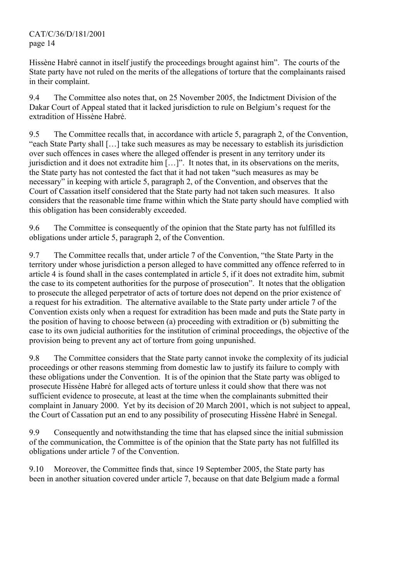Hissène Habré cannot in itself justify the proceedings brought against him". The courts of the State party have not ruled on the merits of the allegations of torture that the complainants raised in their complaint.

9.4 The Committee also notes that, on 25 November 2005, the Indictment Division of the Dakar Court of Appeal stated that it lacked jurisdiction to rule on Belgium's request for the extradition of Hissène Habré.

9.5 The Committee recalls that, in accordance with article 5, paragraph 2, of the Convention, "each State Party shall […] take such measures as may be necessary to establish its jurisdiction over such offences in cases where the alleged offender is present in any territory under its jurisdiction and it does not extradite him […]". It notes that, in its observations on the merits, the State party has not contested the fact that it had not taken "such measures as may be necessary" in keeping with article 5, paragraph 2, of the Convention, and observes that the Court of Cassation itself considered that the State party had not taken such measures. It also considers that the reasonable time frame within which the State party should have complied with this obligation has been considerably exceeded.

9.6 The Committee is consequently of the opinion that the State party has not fulfilled its obligations under article 5, paragraph 2, of the Convention.

9.7 The Committee recalls that, under article 7 of the Convention, "the State Party in the territory under whose jurisdiction a person alleged to have committed any offence referred to in article 4 is found shall in the cases contemplated in article 5, if it does not extradite him, submit the case to its competent authorities for the purpose of prosecution". It notes that the obligation to prosecute the alleged perpetrator of acts of torture does not depend on the prior existence of a request for his extradition. The alternative available to the State party under article 7 of the Convention exists only when a request for extradition has been made and puts the State party in the position of having to choose between (a) proceeding with extradition or (b) submitting the case to its own judicial authorities for the institution of criminal proceedings, the objective of the provision being to prevent any act of torture from going unpunished.

9.8 The Committee considers that the State party cannot invoke the complexity of its judicial proceedings or other reasons stemming from domestic law to justify its failure to comply with these obligations under the Convention. It is of the opinion that the State party was obliged to prosecute Hissène Habré for alleged acts of torture unless it could show that there was not sufficient evidence to prosecute, at least at the time when the complainants submitted their complaint in January 2000. Yet by its decision of 20 March 2001, which is not subject to appeal, the Court of Cassation put an end to any possibility of prosecuting Hissène Habré in Senegal.

9.9 Consequently and notwithstanding the time that has elapsed since the initial submission of the communication, the Committee is of the opinion that the State party has not fulfilled its obligations under article 7 of the Convention.

9.10 Moreover, the Committee finds that, since 19 September 2005, the State party has been in another situation covered under article 7, because on that date Belgium made a formal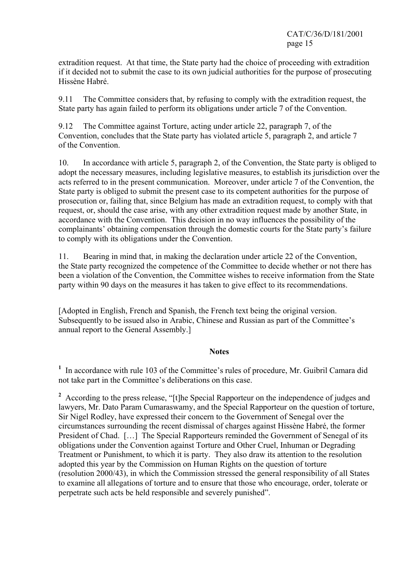extradition request. At that time, the State party had the choice of proceeding with extradition if it decided not to submit the case to its own judicial authorities for the purpose of prosecuting Hissène Habré.

9.11 The Committee considers that, by refusing to comply with the extradition request, the State party has again failed to perform its obligations under article 7 of the Convention.

9.12 The Committee against Torture, acting under article 22, paragraph 7, of the Convention, concludes that the State party has violated article 5, paragraph 2, and article 7 of the Convention.

10. In accordance with article 5, paragraph 2, of the Convention, the State party is obliged to adopt the necessary measures, including legislative measures, to establish its jurisdiction over the acts referred to in the present communication. Moreover, under article 7 of the Convention, the State party is obliged to submit the present case to its competent authorities for the purpose of prosecution or, failing that, since Belgium has made an extradition request, to comply with that request, or, should the case arise, with any other extradition request made by another State, in accordance with the Convention. This decision in no way influences the possibility of the complainants' obtaining compensation through the domestic courts for the State party's failure to comply with its obligations under the Convention.

11. Bearing in mind that, in making the declaration under article 22 of the Convention, the State party recognized the competence of the Committee to decide whether or not there has been a violation of the Convention, the Committee wishes to receive information from the State party within 90 days on the measures it has taken to give effect to its recommendations.

[Adopted in English, French and Spanish, the French text being the original version. Subsequently to be issued also in Arabic, Chinese and Russian as part of the Committee's annual report to the General Assembly.]

#### **Notes**

<sup>1</sup> In accordance with rule 103 of the Committee's rules of procedure, Mr. Guibril Camara did not take part in the Committee's deliberations on this case.

<sup>2</sup> According to the press release, "[t]he Special Rapporteur on the independence of judges and lawyers, Mr. Dato Param Cumaraswamy, and the Special Rapporteur on the question of torture, Sir Nigel Rodley, have expressed their concern to the Government of Senegal over the circumstances surrounding the recent dismissal of charges against Hissène Habré, the former President of Chad. [...] The Special Rapporteurs reminded the Government of Senegal of its obligations under the Convention against Torture and Other Cruel, Inhuman or Degrading Treatment or Punishment, to which it is party. They also draw its attention to the resolution adopted this year by the Commission on Human Rights on the question of torture (resolution 2000/43), in which the Commission stressed the general responsibility of all States to examine all allegations of torture and to ensure that those who encourage, order, tolerate or perpetrate such acts be held responsible and severely punished".